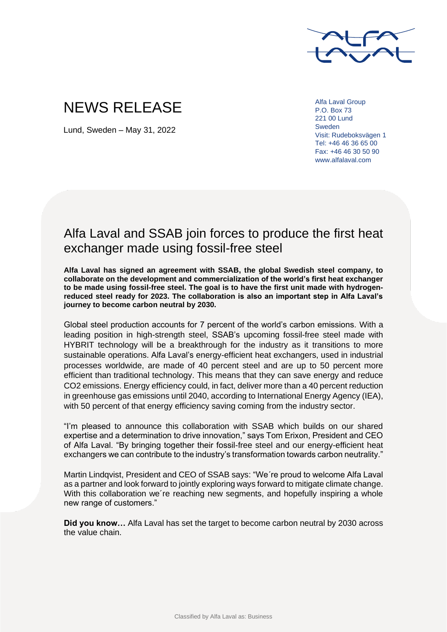

# NEWS RELEASE

Lund, Sweden – May 31, 2022

Alfa Laval Group P.O. Box 73 221 00 Lund Sweden Visit: Rudeboksvägen 1 Tel: +46 46 36 65 00 Fax: +46 46 30 50 90 www.alfalaval.com

## Alfa Laval and SSAB join forces to produce the first heat exchanger made using fossil-free steel

**Alfa Laval has signed an agreement with SSAB, the global Swedish steel company, to collaborate on the development and commercialization of the world's first heat exchanger to be made using fossil-free steel. The goal is to have the first unit made with hydrogenreduced steel ready for 2023. The collaboration is also an important step in Alfa Laval's journey to become carbon neutral by 2030.**

Global steel production accounts for 7 percent of the world's carbon emissions. With a leading position in high-strength steel, SSAB's upcoming fossil-free steel made with HYBRIT technology will be a breakthrough for the industry as it transitions to more sustainable operations. Alfa Laval's energy-efficient heat exchangers, used in industrial processes worldwide, are made of 40 percent steel and are up to 50 percent more efficient than traditional technology. This means that they can save energy and reduce CO2 emissions. Energy efficiency could, in fact, deliver more than a 40 percent reduction in greenhouse gas emissions until 2040, according to International Energy Agency (IEA), with 50 percent of that energy efficiency saving coming from the industry sector.

"I'm pleased to announce this collaboration with SSAB which builds on our shared expertise and a determination to drive innovation," says Tom Erixon, President and CEO of Alfa Laval. "By bringing together their fossil-free steel and our energy-efficient heat exchangers we can contribute to the industry's transformation towards carbon neutrality."

Martin Lindqvist, President and CEO of SSAB says: "We´re proud to welcome Alfa Laval as a partner and look forward to jointly exploring ways forward to mitigate climate change. With this collaboration we´re reaching new segments, and hopefully inspiring a whole new range of customers."

**Did you know…** Alfa Laval has set the target to become carbon neutral by 2030 across the value chain.